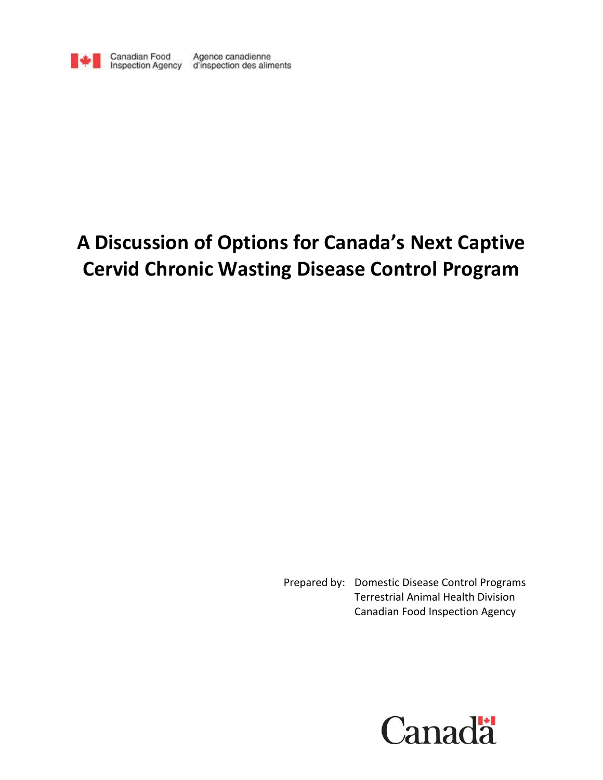

Canadian Food Agence canadienne<br>Inspection Agency d'inspection des aliments

# **A Discussion of Options for Canada's Next Captive Cervid Chronic Wasting Disease Control Program**

Prepared by: Domestic Disease Control Programs Terrestrial Animal Health Division Canadian Food Inspection Agency

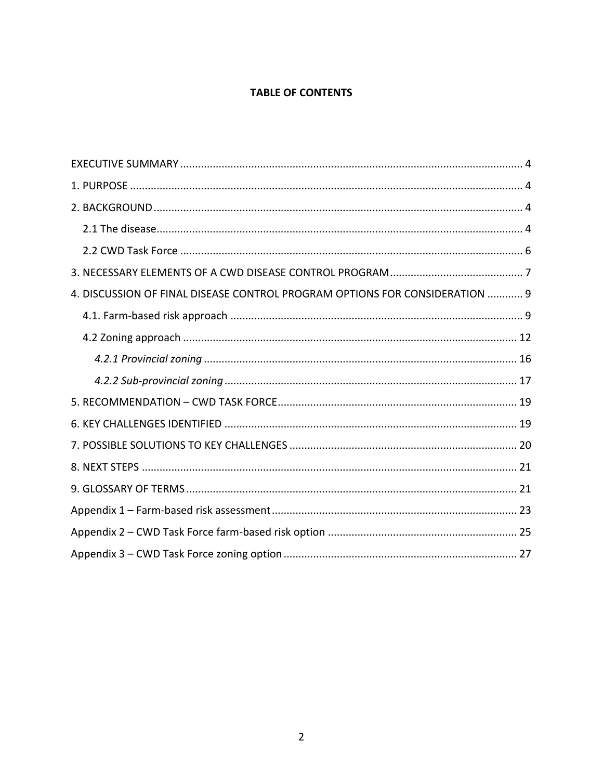# **TABLE OF CONTENTS**

| 4. DISCUSSION OF FINAL DISEASE CONTROL PROGRAM OPTIONS FOR CONSIDERATION  9 |
|-----------------------------------------------------------------------------|
|                                                                             |
|                                                                             |
|                                                                             |
|                                                                             |
|                                                                             |
|                                                                             |
|                                                                             |
|                                                                             |
|                                                                             |
|                                                                             |
|                                                                             |
|                                                                             |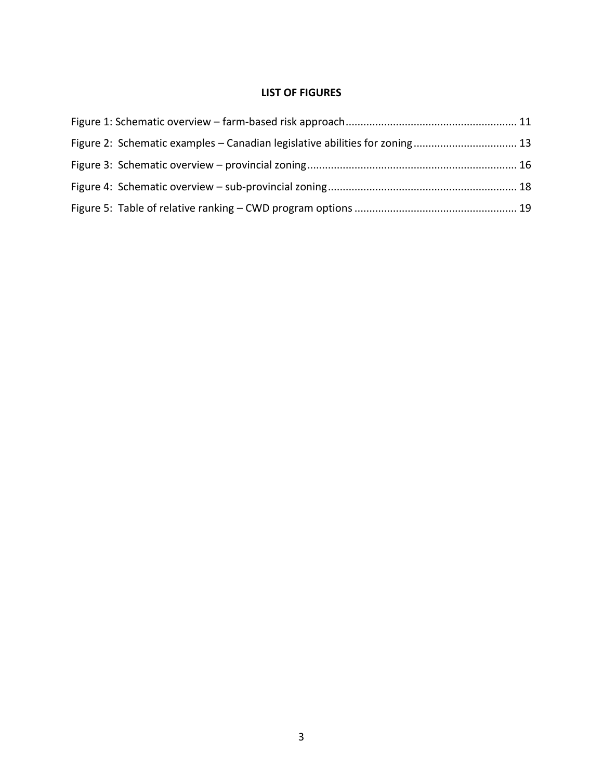# **LIST OF FIGURES**

| Figure 2: Schematic examples – Canadian legislative abilities for zoning 13 |  |
|-----------------------------------------------------------------------------|--|
|                                                                             |  |
|                                                                             |  |
|                                                                             |  |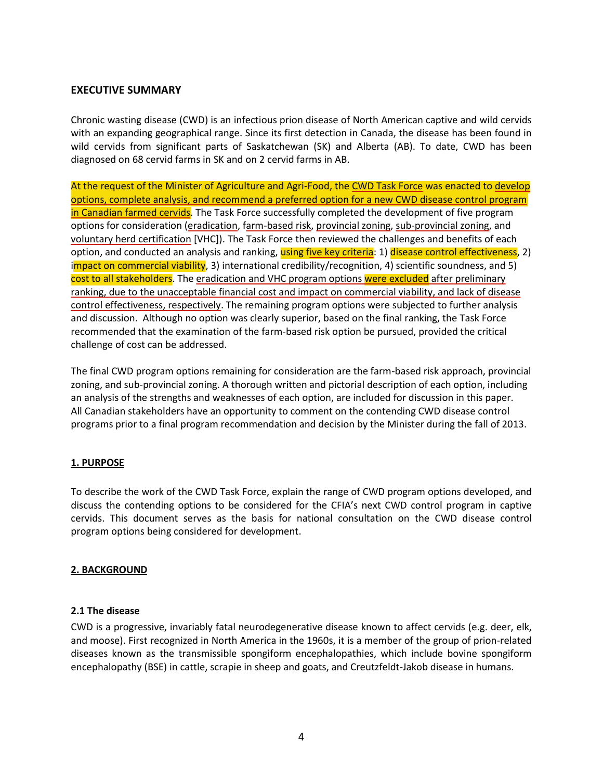# <span id="page-3-0"></span>**EXECUTIVE SUMMARY**

Chronic wasting disease (CWD) is an infectious prion disease of North American captive and wild cervids with an expanding geographical range. Since its first detection in Canada, the disease has been found in wild cervids from significant parts of Saskatchewan (SK) and Alberta (AB). To date, CWD has been diagnosed on 68 cervid farms in SK and on 2 cervid farms in AB.

At the request of the Minister of Agriculture and Agri-Food, the CWD Task Force was enacted to develop options, complete analysis, and recommend a preferred option for a new CWD disease control program in Canadian farmed cervids. The Task Force successfully completed the development of five program options for consideration (eradication, farm-based risk, provincial zoning, sub-provincial zoning, and voluntary herd certification [VHC]). The Task Force then reviewed the challenges and benefits of each option, and conducted an analysis and ranking, using five key criteria: 1) disease control effectiveness, 2) impact on commercial viability, 3) international credibility/recognition, 4) scientific soundness, and 5) cost to all stakeholders. The eradication and VHC program options were excluded after preliminary ranking, due to the unacceptable financial cost and impact on commercial viability, and lack of disease control effectiveness, respectively. The remaining program options were subjected to further analysis and discussion. Although no option was clearly superior, based on the final ranking, the Task Force recommended that the examination of the farm-based risk option be pursued, provided the critical challenge of cost can be addressed.

The final CWD program options remaining for consideration are the farm-based risk approach, provincial zoning, and sub-provincial zoning. A thorough written and pictorial description of each option, including an analysis of the strengths and weaknesses of each option, are included for discussion in this paper. All Canadian stakeholders have an opportunity to comment on the contending CWD disease control programs prior to a final program recommendation and decision by the Minister during the fall of 2013.

## <span id="page-3-1"></span>**1. PURPOSE**

To describe the work of the CWD Task Force, explain the range of CWD program options developed, and discuss the contending options to be considered for the CFIA's next CWD control program in captive cervids. This document serves as the basis for national consultation on the CWD disease control program options being considered for development.

## <span id="page-3-2"></span>**2. BACKGROUND**

## <span id="page-3-3"></span>**2.1 The disease**

CWD is a progressive, invariably fatal neurodegenerative disease known to affect cervids (e.g. deer, elk, and moose). First recognized in North America in the 1960s, it is a member of the group of prion-related diseases known as the transmissible spongiform encephalopathies, which include bovine spongiform encephalopathy (BSE) in cattle, scrapie in sheep and goats, and Creutzfeldt-Jakob disease in humans.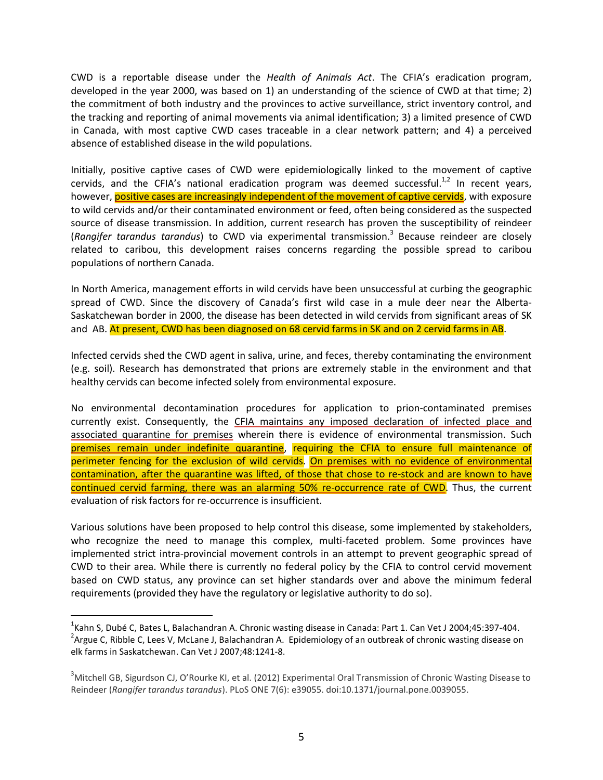CWD is a reportable disease under the *Health of Animals Act*. The CFIA's eradication program, developed in the year 2000, was based on 1) an understanding of the science of CWD at that time; 2) the commitment of both industry and the provinces to active surveillance, strict inventory control, and the tracking and reporting of animal movements via animal identification; 3) a limited presence of CWD in Canada, with most captive CWD cases traceable in a clear network pattern; and 4) a perceived absence of established disease in the wild populations.

Initially, positive captive cases of CWD were epidemiologically linked to the movement of captive cervids, and the CFIA's national eradication program was deemed successful. $^{1,2}$  In recent years, however, positive cases are increasingly independent of the movement of captive cervids, with exposure to wild cervids and/or their contaminated environment or feed, often being considered as the suspected source of disease transmission. In addition, current research has proven the susceptibility of reindeer (*Rangifer tarandus tarandus*) to CWD via experimental transmission. <sup>3</sup> Because reindeer are closely related to caribou, this development raises concerns regarding the possible spread to caribou populations of northern Canada.

In North America, management efforts in wild cervids have been unsuccessful at curbing the geographic spread of CWD. Since the discovery of Canada's first wild case in a mule deer near the Alberta-Saskatchewan border in 2000, the disease has been detected in wild cervids from significant areas of SK and AB. At present, CWD has been diagnosed on 68 cervid farms in SK and on 2 cervid farms in AB.

Infected cervids shed the CWD agent in saliva, urine, and feces, thereby contaminating the environment (e.g. soil). Research has demonstrated that prions are extremely stable in the environment and that healthy cervids can become infected solely from environmental exposure.

No environmental decontamination procedures for application to prion-contaminated premises currently exist. Consequently, the CFIA maintains any imposed declaration of infected place and associated quarantine for premises wherein there is evidence of environmental transmission. Such premises remain under indefinite quarantine, requiring the CFIA to ensure full maintenance of perimeter fencing for the exclusion of wild cervids. On premises with no evidence of environmental contamination, after the quarantine was lifted, of those that chose to re-stock and are known to have continued cervid farming, there was an alarming 50% re-occurrence rate of CWD. Thus, the current evaluation of risk factors for re-occurrence is insufficient.

Various solutions have been proposed to help control this disease, some implemented by stakeholders, who recognize the need to manage this complex, multi-faceted problem. Some provinces have implemented strict intra-provincial movement controls in an attempt to prevent geographic spread of CWD to their area. While there is currently no federal policy by the CFIA to control cervid movement based on CWD status, any province can set higher standards over and above the minimum federal requirements (provided they have the regulatory or legislative authority to do so).

 $\frac{1}{1}$ <sup>1</sup> Kahn S, Dubé C, Bates L, Balachandran A. Chronic wasting disease in Canada: Part 1. Can Vet J 2004;45:397-404. <sup>2</sup> Argue C, Ribble C, Lees V, McLane J, Balachandran A. Epidemiology of an outbreak of chronic wasting disease on elk farms in Saskatchewan. Can Vet J 2007;48:1241-8.

<sup>&</sup>lt;sup>3</sup>Mitchell GB, Sigurdson CJ, O'Rourke KI, et al. (2012) Experimental Oral Transmission of Chronic Wasting Disease to Reindeer (*Rangifer tarandus tarandus*). PLoS ONE 7(6): e39055. doi:10.1371/journal.pone.0039055.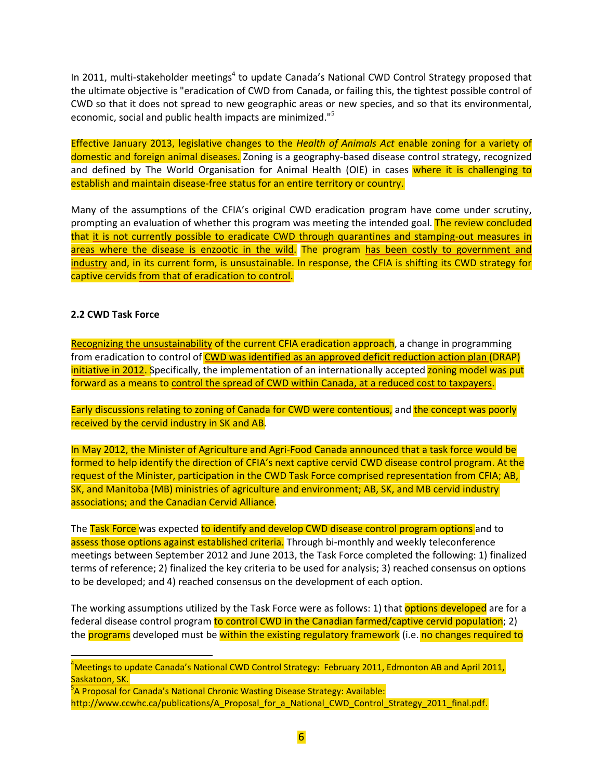In 2011, multi-stakeholder meetings<sup>4</sup> to update Canada's National CWD Control Strategy proposed that the ultimate objective is "eradication of CWD from Canada, or failing this, the tightest possible control of CWD so that it does not spread to new geographic areas or new species, and so that its environmental, economic, social and public health impacts are minimized."<sup>5</sup>

Effective January 2013, legislative changes to the *Health of Animals Act* enable zoning for a variety of domestic and foreign animal diseases. Zoning is a geography-based disease control strategy, recognized and defined by The World Organisation for Animal Health (OIE) in cases where it is challenging to establish and maintain disease-free status for an entire territory or country.

Many of the assumptions of the CFIA's original CWD eradication program have come under scrutiny, prompting an evaluation of whether this program was meeting the intended goal. The review concluded that it is not currently possible to eradicate CWD through quarantines and stamping-out measures in areas where the disease is enzootic in the wild. The program has been costly to government and industry and, in its current form, is unsustainable. In response, the CFIA is shifting its CWD strategy for captive cervids from that of eradication to control.

## <span id="page-5-0"></span>**2.2 CWD Task Force**

Recognizing the unsustainability of the current CFIA eradication approach, a change in programming from eradication to control of CWD was identified as an approved deficit reduction action plan (DRAP) initiative in 2012. Specifically, the implementation of an internationally accepted zoning model was put forward as a means to control the spread of CWD within Canada, at a reduced cost to taxpayers.

Early discussions relating to zoning of Canada for CWD were contentious, and the concept was poorly received by the cervid industry in SK and AB.

In May 2012, the Minister of Agriculture and Agri-Food Canada announced that a task force would be formed to help identify the direction of CFIA's next captive cervid CWD disease control program. At the request of the Minister, participation in the CWD Task Force comprised representation from CFIA; AB, SK, and Manitoba (MB) ministries of agriculture and environment; AB, SK, and MB cervid industry associations; and the Canadian Cervid Alliance.

The Task Force was expected to identify and develop CWD disease control program options and to assess those options against established criteria. Through bi-monthly and weekly teleconference meetings between September 2012 and June 2013, the Task Force completed the following: 1) finalized terms of reference; 2) finalized the key criteria to be used for analysis; 3) reached consensus on options to be developed; and 4) reached consensus on the development of each option.

The working assumptions utilized by the Task Force were as follows: 1) that **options developed** are for a federal disease control program to control CWD in the Canadian farmed/captive cervid population; 2) the programs developed must be within the existing regulatory framework (i.e. no changes required to

 $\frac{1}{4}$ <sup>4</sup>Meetings to update Canada's National CWD Control Strategy: February 2011, Edmonton AB and April 2011, Saskatoon, SK.

<sup>5</sup>A Proposal for Canada's National Chronic Wasting Disease Strategy: Available: [http://www.ccwhc.ca/publications/A\\_Proposal\\_for\\_a\\_National\\_CWD\\_Control\\_Strategy\\_2011\\_final.pdf.](http://www.ccwhc.ca/publications/A_Proposal_for_a_National_CWD_Control_Strategy_2011_final.pdf)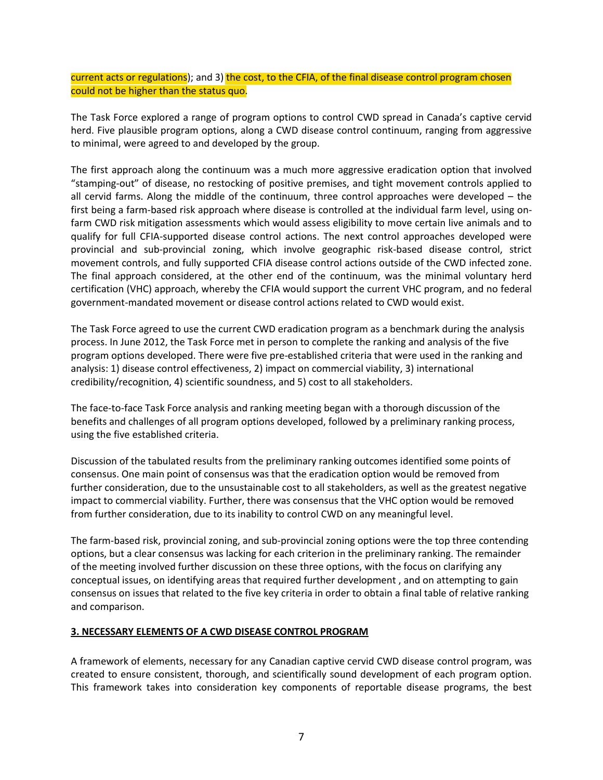current acts or regulations); and 3) the cost, to the CFIA, of the final disease control program chosen could not be higher than the status quo.

The Task Force explored a range of program options to control CWD spread in Canada's captive cervid herd. Five plausible program options, along a CWD disease control continuum, ranging from aggressive to minimal, were agreed to and developed by the group.

The first approach along the continuum was a much more aggressive eradication option that involved "stamping-out" of disease, no restocking of positive premises, and tight movement controls applied to all cervid farms. Along the middle of the continuum, three control approaches were developed – the first being a farm-based risk approach where disease is controlled at the individual farm level, using onfarm CWD risk mitigation assessments which would assess eligibility to move certain live animals and to qualify for full CFIA-supported disease control actions. The next control approaches developed were provincial and sub-provincial zoning, which involve geographic risk-based disease control, strict movement controls, and fully supported CFIA disease control actions outside of the CWD infected zone. The final approach considered, at the other end of the continuum, was the minimal voluntary herd certification (VHC) approach, whereby the CFIA would support the current VHC program, and no federal government-mandated movement or disease control actions related to CWD would exist.

The Task Force agreed to use the current CWD eradication program as a benchmark during the analysis process. In June 2012, the Task Force met in person to complete the ranking and analysis of the five program options developed. There were five pre-established criteria that were used in the ranking and analysis: 1) disease control effectiveness, 2) impact on commercial viability, 3) international credibility/recognition, 4) scientific soundness, and 5) cost to all stakeholders.

The face-to-face Task Force analysis and ranking meeting began with a thorough discussion of the benefits and challenges of all program options developed, followed by a preliminary ranking process, using the five established criteria.

Discussion of the tabulated results from the preliminary ranking outcomes identified some points of consensus. One main point of consensus was that the eradication option would be removed from further consideration, due to the unsustainable cost to all stakeholders, as well as the greatest negative impact to commercial viability. Further, there was consensus that the VHC option would be removed from further consideration, due to its inability to control CWD on any meaningful level.

The farm-based risk, provincial zoning, and sub-provincial zoning options were the top three contending options, but a clear consensus was lacking for each criterion in the preliminary ranking. The remainder of the meeting involved further discussion on these three options, with the focus on clarifying any conceptual issues, on identifying areas that required further development , and on attempting to gain consensus on issues that related to the five key criteria in order to obtain a final table of relative ranking and comparison.

## <span id="page-6-0"></span>**3. NECESSARY ELEMENTS OF A CWD DISEASE CONTROL PROGRAM**

A framework of elements, necessary for any Canadian captive cervid CWD disease control program, was created to ensure consistent, thorough, and scientifically sound development of each program option. This framework takes into consideration key components of reportable disease programs, the best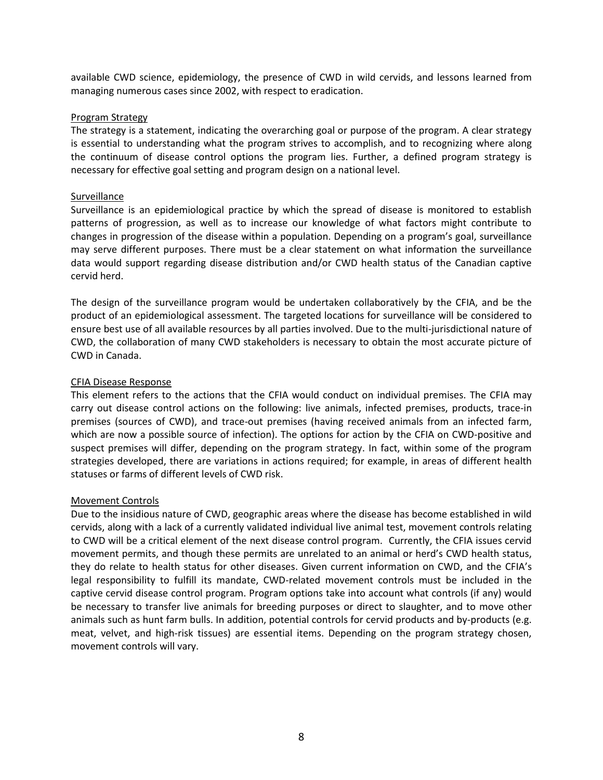available CWD science, epidemiology, the presence of CWD in wild cervids, and lessons learned from managing numerous cases since 2002, with respect to eradication.

#### Program Strategy

The strategy is a statement, indicating the overarching goal or purpose of the program. A clear strategy is essential to understanding what the program strives to accomplish, and to recognizing where along the continuum of disease control options the program lies. Further, a defined program strategy is necessary for effective goal setting and program design on a national level.

#### Surveillance

Surveillance is an epidemiological practice by which the spread of disease is monitored to establish patterns of progression, as well as to increase our knowledge of what factors might contribute to changes in progression of the disease within a population. Depending on a program's goal, surveillance may serve different purposes. There must be a clear statement on what information the surveillance data would support regarding disease distribution and/or CWD health status of the Canadian captive cervid herd.

The design of the surveillance program would be undertaken collaboratively by the CFIA, and be the product of an epidemiological assessment. The targeted locations for surveillance will be considered to ensure best use of all available resources by all parties involved. Due to the multi-jurisdictional nature of CWD, the collaboration of many CWD stakeholders is necessary to obtain the most accurate picture of CWD in Canada.

## CFIA Disease Response

This element refers to the actions that the CFIA would conduct on individual premises. The CFIA may carry out disease control actions on the following: live animals, infected premises, products, trace-in premises (sources of CWD), and trace-out premises (having received animals from an infected farm, which are now a possible source of infection). The options for action by the CFIA on CWD-positive and suspect premises will differ, depending on the program strategy. In fact, within some of the program strategies developed, there are variations in actions required; for example, in areas of different health statuses or farms of different levels of CWD risk.

## Movement Controls

Due to the insidious nature of CWD, geographic areas where the disease has become established in wild cervids, along with a lack of a currently validated individual live animal test, movement controls relating to CWD will be a critical element of the next disease control program. Currently, the CFIA issues cervid movement permits, and though these permits are unrelated to an animal or herd's CWD health status, they do relate to health status for other diseases. Given current information on CWD, and the CFIA's legal responsibility to fulfill its mandate, CWD-related movement controls must be included in the captive cervid disease control program. Program options take into account what controls (if any) would be necessary to transfer live animals for breeding purposes or direct to slaughter, and to move other animals such as hunt farm bulls. In addition, potential controls for cervid products and by-products (e.g. meat, velvet, and high-risk tissues) are essential items. Depending on the program strategy chosen, movement controls will vary.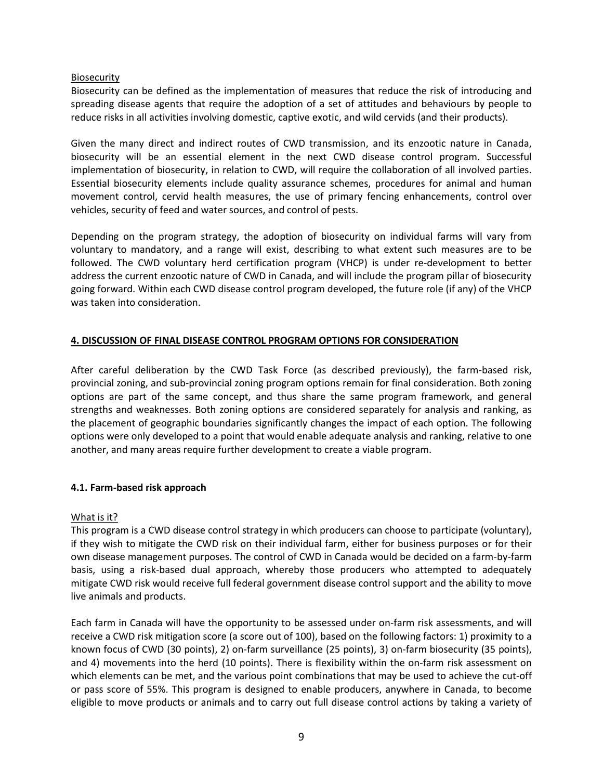# Biosecurity

Biosecurity can be defined as the implementation of measures that reduce the risk of introducing and spreading disease agents that require the adoption of a set of attitudes and behaviours by people to reduce risks in all activities involving domestic, captive exotic, and wild cervids (and their products).

Given the many direct and indirect routes of CWD transmission, and its enzootic nature in Canada, biosecurity will be an essential element in the next CWD disease control program. Successful implementation of biosecurity, in relation to CWD, will require the collaboration of all involved parties. Essential biosecurity elements include quality assurance schemes, procedures for animal and human movement control, cervid health measures, the use of primary fencing enhancements, control over vehicles, security of feed and water sources, and control of pests.

Depending on the program strategy, the adoption of biosecurity on individual farms will vary from voluntary to mandatory, and a range will exist, describing to what extent such measures are to be followed. The CWD voluntary herd certification program (VHCP) is under re-development to better address the current enzootic nature of CWD in Canada, and will include the program pillar of biosecurity going forward. Within each CWD disease control program developed, the future role (if any) of the VHCP was taken into consideration.

# <span id="page-8-0"></span>**4. DISCUSSION OF FINAL DISEASE CONTROL PROGRAM OPTIONS FOR CONSIDERATION**

After careful deliberation by the CWD Task Force (as described previously), the farm-based risk, provincial zoning, and sub-provincial zoning program options remain for final consideration. Both zoning options are part of the same concept, and thus share the same program framework, and general strengths and weaknesses. Both zoning options are considered separately for analysis and ranking, as the placement of geographic boundaries significantly changes the impact of each option. The following options were only developed to a point that would enable adequate analysis and ranking, relative to one another, and many areas require further development to create a viable program.

## <span id="page-8-1"></span>**4.1. Farm-based risk approach**

## What is it?

This program is a CWD disease control strategy in which producers can choose to participate (voluntary), if they wish to mitigate the CWD risk on their individual farm, either for business purposes or for their own disease management purposes. The control of CWD in Canada would be decided on a farm-by-farm basis, using a risk-based dual approach, whereby those producers who attempted to adequately mitigate CWD risk would receive full federal government disease control support and the ability to move live animals and products.

Each farm in Canada will have the opportunity to be assessed under on-farm risk assessments, and will receive a CWD risk mitigation score (a score out of 100), based on the following factors: 1) proximity to a known focus of CWD (30 points), 2) on-farm surveillance (25 points), 3) on-farm biosecurity (35 points), and 4) movements into the herd (10 points). There is flexibility within the on-farm risk assessment on which elements can be met, and the various point combinations that may be used to achieve the cut-off or pass score of 55%. This program is designed to enable producers, anywhere in Canada, to become eligible to move products or animals and to carry out full disease control actions by taking a variety of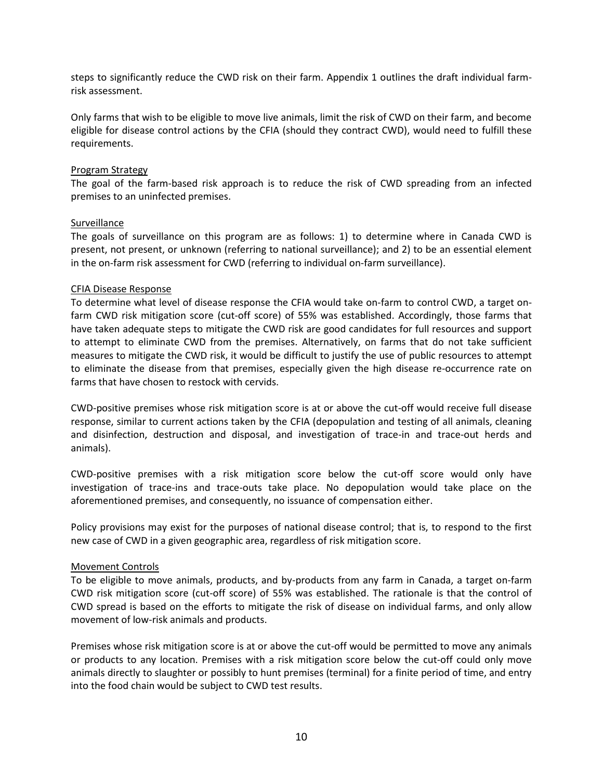steps to significantly reduce the CWD risk on their farm. Appendix 1 outlines the draft individual farmrisk assessment.

Only farms that wish to be eligible to move live animals, limit the risk of CWD on their farm, and become eligible for disease control actions by the CFIA (should they contract CWD), would need to fulfill these requirements.

#### Program Strategy

The goal of the farm-based risk approach is to reduce the risk of CWD spreading from an infected premises to an uninfected premises.

#### Surveillance

The goals of surveillance on this program are as follows: 1) to determine where in Canada CWD is present, not present, or unknown (referring to national surveillance); and 2) to be an essential element in the on-farm risk assessment for CWD (referring to individual on-farm surveillance).

#### CFIA Disease Response

To determine what level of disease response the CFIA would take on-farm to control CWD, a target onfarm CWD risk mitigation score (cut-off score) of 55% was established. Accordingly, those farms that have taken adequate steps to mitigate the CWD risk are good candidates for full resources and support to attempt to eliminate CWD from the premises. Alternatively, on farms that do not take sufficient measures to mitigate the CWD risk, it would be difficult to justify the use of public resources to attempt to eliminate the disease from that premises, especially given the high disease re-occurrence rate on farms that have chosen to restock with cervids.

CWD-positive premises whose risk mitigation score is at or above the cut-off would receive full disease response, similar to current actions taken by the CFIA (depopulation and testing of all animals, cleaning and disinfection, destruction and disposal, and investigation of trace-in and trace-out herds and animals).

CWD-positive premises with a risk mitigation score below the cut-off score would only have investigation of trace-ins and trace-outs take place. No depopulation would take place on the aforementioned premises, and consequently, no issuance of compensation either.

Policy provisions may exist for the purposes of national disease control; that is, to respond to the first new case of CWD in a given geographic area, regardless of risk mitigation score.

## Movement Controls

To be eligible to move animals, products, and by-products from any farm in Canada, a target on-farm CWD risk mitigation score (cut-off score) of 55% was established. The rationale is that the control of CWD spread is based on the efforts to mitigate the risk of disease on individual farms, and only allow movement of low-risk animals and products.

Premises whose risk mitigation score is at or above the cut-off would be permitted to move any animals or products to any location. Premises with a risk mitigation score below the cut-off could only move animals directly to slaughter or possibly to hunt premises (terminal) for a finite period of time, and entry into the food chain would be subject to CWD test results.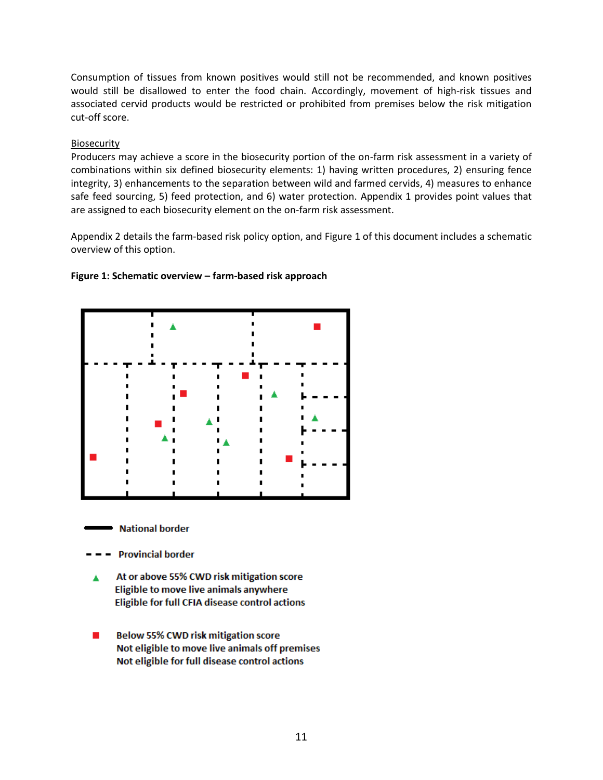Consumption of tissues from known positives would still not be recommended, and known positives would still be disallowed to enter the food chain. Accordingly, movement of high-risk tissues and associated cervid products would be restricted or prohibited from premises below the risk mitigation cut-off score.

# Biosecurity

Producers may achieve a score in the biosecurity portion of the on-farm risk assessment in a variety of combinations within six defined biosecurity elements: 1) having written procedures, 2) ensuring fence integrity, 3) enhancements to the separation between wild and farmed cervids, 4) measures to enhance safe feed sourcing, 5) feed protection, and 6) water protection. Appendix 1 provides point values that are assigned to each biosecurity element on the on-farm risk assessment.

Appendix 2 details the farm-based risk policy option, and Figure 1 of this document includes a schematic overview of this option.

## <span id="page-10-0"></span>**Figure 1: Schematic overview – farm-based risk approach**



**National border** 

- **Provincial border**
- At or above 55% CWD risk mitigation score Eligible to move live animals anywhere Eligible for full CFIA disease control actions
- **Below 55% CWD risk mitigation score COL** Not eligible to move live animals off premises Not eligible for full disease control actions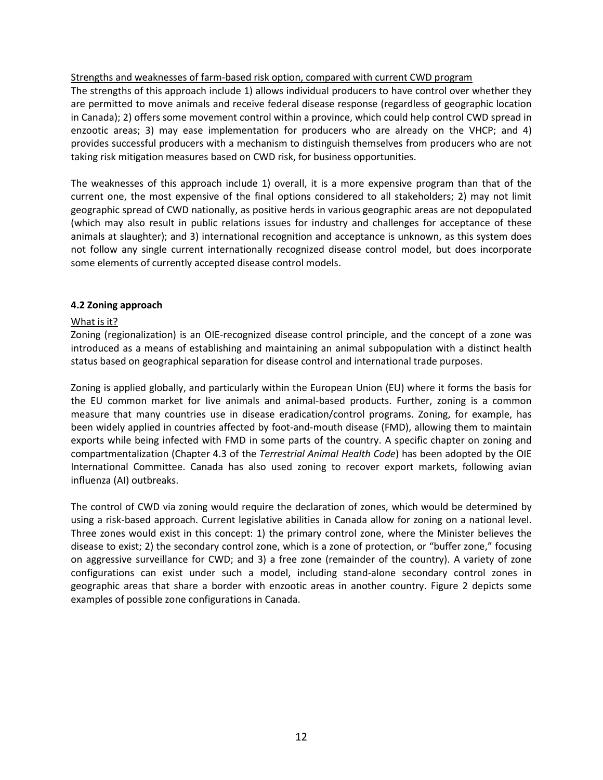Strengths and weaknesses of farm-based risk option, compared with current CWD program

The strengths of this approach include 1) allows individual producers to have control over whether they are permitted to move animals and receive federal disease response (regardless of geographic location in Canada); 2) offers some movement control within a province, which could help control CWD spread in enzootic areas; 3) may ease implementation for producers who are already on the VHCP; and 4) provides successful producers with a mechanism to distinguish themselves from producers who are not taking risk mitigation measures based on CWD risk, for business opportunities.

The weaknesses of this approach include 1) overall, it is a more expensive program than that of the current one, the most expensive of the final options considered to all stakeholders; 2) may not limit geographic spread of CWD nationally, as positive herds in various geographic areas are not depopulated (which may also result in public relations issues for industry and challenges for acceptance of these animals at slaughter); and 3) international recognition and acceptance is unknown, as this system does not follow any single current internationally recognized disease control model, but does incorporate some elements of currently accepted disease control models.

# <span id="page-11-0"></span>**4.2 Zoning approach**

## What is it?

Zoning (regionalization) is an OIE-recognized disease control principle, and the concept of a zone was introduced as a means of establishing and maintaining an animal subpopulation with a distinct health status based on geographical separation for disease control and international trade purposes.

Zoning is applied globally, and particularly within the European Union (EU) where it forms the basis for the EU common market for live animals and animal-based products. Further, zoning is a common measure that many countries use in disease eradication/control programs. Zoning, for example, has been widely applied in countries affected by foot-and-mouth disease (FMD), allowing them to maintain exports while being infected with FMD in some parts of the country. A specific chapter on zoning and compartmentalization (Chapter 4.3 of the *Terrestrial Animal Health Code*) has been adopted by the OIE International Committee. Canada has also used zoning to recover export markets, following avian influenza (AI) outbreaks.

The control of CWD via zoning would require the declaration of zones, which would be determined by using a risk-based approach. Current legislative abilities in Canada allow for zoning on a national level. Three zones would exist in this concept: 1) the primary control zone, where the Minister believes the disease to exist; 2) the secondary control zone, which is a zone of protection, or "buffer zone," focusing on aggressive surveillance for CWD; and 3) a free zone (remainder of the country). A variety of zone configurations can exist under such a model, including stand-alone secondary control zones in geographic areas that share a border with enzootic areas in another country. Figure 2 depicts some examples of possible zone configurations in Canada.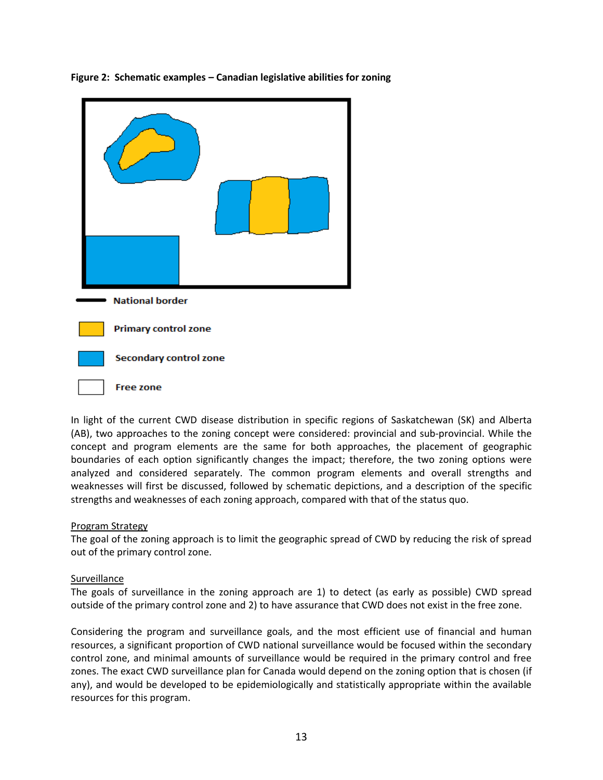

<span id="page-12-0"></span>**Figure 2: Schematic examples – Canadian legislative abilities for zoning**

In light of the current CWD disease distribution in specific regions of Saskatchewan (SK) and Alberta (AB), two approaches to the zoning concept were considered: provincial and sub-provincial. While the concept and program elements are the same for both approaches, the placement of geographic boundaries of each option significantly changes the impact; therefore, the two zoning options were analyzed and considered separately. The common program elements and overall strengths and weaknesses will first be discussed, followed by schematic depictions, and a description of the specific strengths and weaknesses of each zoning approach, compared with that of the status quo.

## Program Strategy

The goal of the zoning approach is to limit the geographic spread of CWD by reducing the risk of spread out of the primary control zone.

#### Surveillance

The goals of surveillance in the zoning approach are 1) to detect (as early as possible) CWD spread outside of the primary control zone and 2) to have assurance that CWD does not exist in the free zone.

Considering the program and surveillance goals, and the most efficient use of financial and human resources, a significant proportion of CWD national surveillance would be focused within the secondary control zone, and minimal amounts of surveillance would be required in the primary control and free zones. The exact CWD surveillance plan for Canada would depend on the zoning option that is chosen (if any), and would be developed to be epidemiologically and statistically appropriate within the available resources for this program.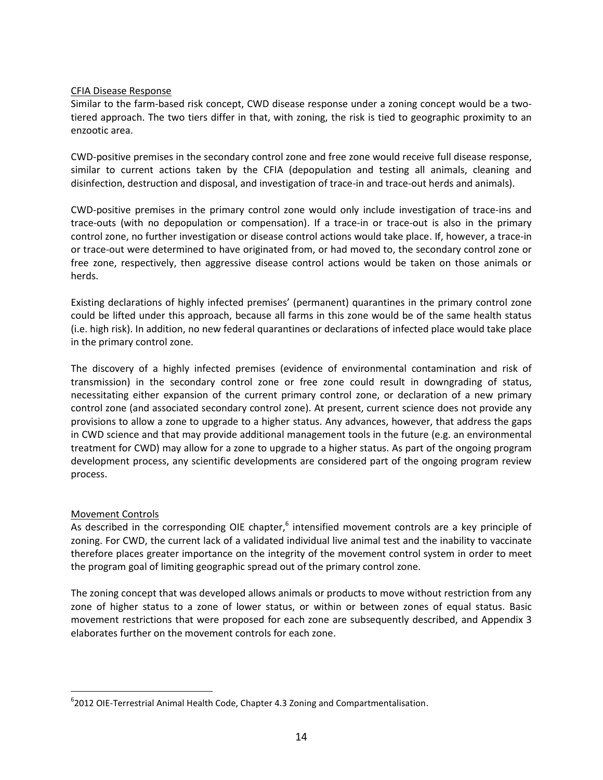# CFIA Disease Response

Similar to the farm-based risk concept, CWD disease response under a zoning concept would be a twotiered approach. The two tiers differ in that, with zoning, the risk is tied to geographic proximity to an enzootic area.

CWD-positive premises in the secondary control zone and free zone would receive full disease response, similar to current actions taken by the CFIA (depopulation and testing all animals, cleaning and disinfection, destruction and disposal, and investigation of trace-in and trace-out herds and animals).

CWD-positive premises in the primary control zone would only include investigation of trace-ins and trace-outs (with no depopulation or compensation). If a trace-in or trace-out is also in the primary control zone, no further investigation or disease control actions would take place. If, however, a trace-in or trace-out were determined to have originated from, or had moved to, the secondary control zone or free zone, respectively, then aggressive disease control actions would be taken on those animals or herds.

Existing declarations of highly infected premises' (permanent) quarantines in the primary control zone could be lifted under this approach, because all farms in this zone would be of the same health status (i.e. high risk). In addition, no new federal quarantines or declarations of infected place would take place in the primary control zone.

The discovery of a highly infected premises (evidence of environmental contamination and risk of transmission) in the secondary control zone or free zone could result in downgrading of status, necessitating either expansion of the current primary control zone, or declaration of a new primary control zone (and associated secondary control zone). At present, current science does not provide any provisions to allow a zone to upgrade to a higher status. Any advances, however, that address the gaps in CWD science and that may provide additional management tools in the future (e.g. an environmental treatment for CWD) may allow for a zone to upgrade to a higher status. As part of the ongoing program development process, any scientific developments are considered part of the ongoing program review process.

# Movement Controls

As described in the corresponding OIE chapter,<sup>6</sup> intensified movement controls are a key principle of zoning. For CWD, the current lack of a validated individual live animal test and the inability to vaccinate therefore places greater importance on the integrity of the movement control system in order to meet the program goal of limiting geographic spread out of the primary control zone.

The zoning concept that was developed allows animals or products to move without restriction from any zone of higher status to a zone of lower status, or within or between zones of equal status. Basic movement restrictions that were proposed for each zone are subsequently described, and Appendix 3 elaborates further on the movement controls for each zone.

<sup>-&</sup>lt;br>6 <sup>6</sup>2012 OIE-Terrestrial Animal Health Code, Chapter 4.3 Zoning and Compartmentalisation.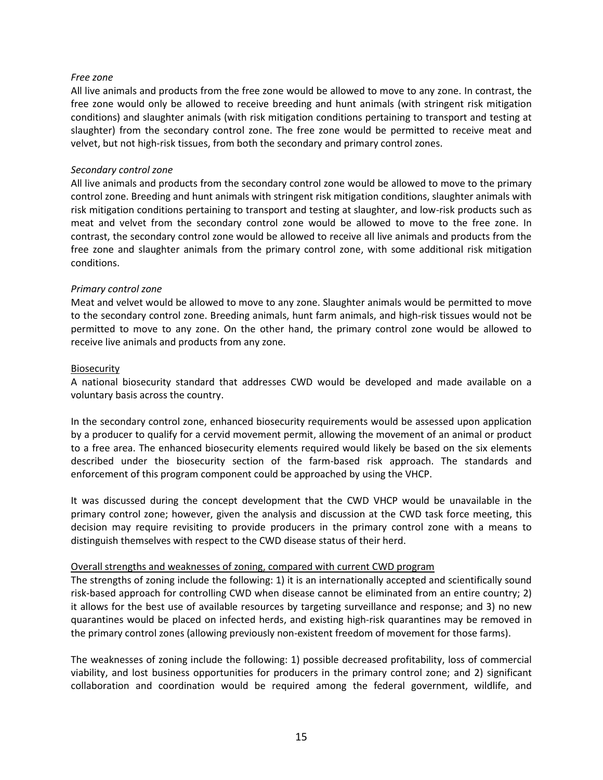#### *Free zone*

All live animals and products from the free zone would be allowed to move to any zone. In contrast, the free zone would only be allowed to receive breeding and hunt animals (with stringent risk mitigation conditions) and slaughter animals (with risk mitigation conditions pertaining to transport and testing at slaughter) from the secondary control zone. The free zone would be permitted to receive meat and velvet, but not high-risk tissues, from both the secondary and primary control zones.

#### *Secondary control zone*

All live animals and products from the secondary control zone would be allowed to move to the primary control zone. Breeding and hunt animals with stringent risk mitigation conditions, slaughter animals with risk mitigation conditions pertaining to transport and testing at slaughter, and low-risk products such as meat and velvet from the secondary control zone would be allowed to move to the free zone. In contrast, the secondary control zone would be allowed to receive all live animals and products from the free zone and slaughter animals from the primary control zone, with some additional risk mitigation conditions.

## *Primary control zone*

Meat and velvet would be allowed to move to any zone. Slaughter animals would be permitted to move to the secondary control zone. Breeding animals, hunt farm animals, and high-risk tissues would not be permitted to move to any zone. On the other hand, the primary control zone would be allowed to receive live animals and products from any zone.

#### **Biosecurity**

A national biosecurity standard that addresses CWD would be developed and made available on a voluntary basis across the country.

In the secondary control zone, enhanced biosecurity requirements would be assessed upon application by a producer to qualify for a cervid movement permit, allowing the movement of an animal or product to a free area. The enhanced biosecurity elements required would likely be based on the six elements described under the biosecurity section of the farm-based risk approach. The standards and enforcement of this program component could be approached by using the VHCP.

It was discussed during the concept development that the CWD VHCP would be unavailable in the primary control zone; however, given the analysis and discussion at the CWD task force meeting, this decision may require revisiting to provide producers in the primary control zone with a means to distinguish themselves with respect to the CWD disease status of their herd.

#### Overall strengths and weaknesses of zoning, compared with current CWD program

The strengths of zoning include the following: 1) it is an internationally accepted and scientifically sound risk-based approach for controlling CWD when disease cannot be eliminated from an entire country; 2) it allows for the best use of available resources by targeting surveillance and response; and 3) no new quarantines would be placed on infected herds, and existing high-risk quarantines may be removed in the primary control zones (allowing previously non-existent freedom of movement for those farms).

The weaknesses of zoning include the following: 1) possible decreased profitability, loss of commercial viability, and lost business opportunities for producers in the primary control zone; and 2) significant collaboration and coordination would be required among the federal government, wildlife, and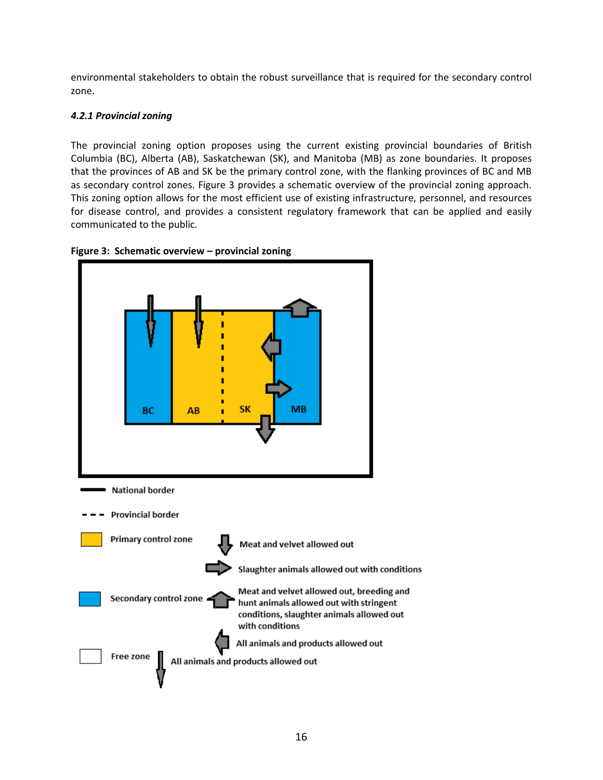environmental stakeholders to obtain the robust surveillance that is required for the secondary control zone.

# <span id="page-15-0"></span>*4.2.1 Provincial zoning*

The provincial zoning option proposes using the current existing provincial boundaries of British Columbia (BC), Alberta (AB), Saskatchewan (SK), and Manitoba (MB) as zone boundaries. It proposes that the provinces of AB and SK be the primary control zone, with the flanking provinces of BC and MB as secondary control zones. Figure 3 provides a schematic overview of the provincial zoning approach. This zoning option allows for the most efficient use of existing infrastructure, personnel, and resources for disease control, and provides a consistent regulatory framework that can be applied and easily communicated to the public.



<span id="page-15-1"></span>**Figure 3: Schematic overview – provincial zoning**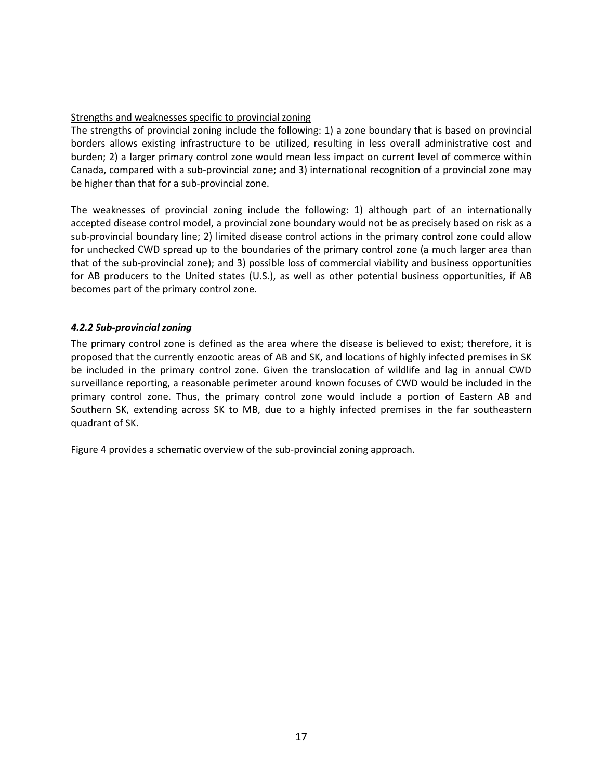## Strengths and weaknesses specific to provincial zoning

The strengths of provincial zoning include the following: 1) a zone boundary that is based on provincial borders allows existing infrastructure to be utilized, resulting in less overall administrative cost and burden; 2) a larger primary control zone would mean less impact on current level of commerce within Canada, compared with a sub-provincial zone; and 3) international recognition of a provincial zone may be higher than that for a sub-provincial zone.

The weaknesses of provincial zoning include the following: 1) although part of an internationally accepted disease control model, a provincial zone boundary would not be as precisely based on risk as a sub-provincial boundary line; 2) limited disease control actions in the primary control zone could allow for unchecked CWD spread up to the boundaries of the primary control zone (a much larger area than that of the sub-provincial zone); and 3) possible loss of commercial viability and business opportunities for AB producers to the United states (U.S.), as well as other potential business opportunities, if AB becomes part of the primary control zone.

## <span id="page-16-0"></span>*4.2.2 Sub-provincial zoning*

The primary control zone is defined as the area where the disease is believed to exist; therefore, it is proposed that the currently enzootic areas of AB and SK, and locations of highly infected premises in SK be included in the primary control zone. Given the translocation of wildlife and lag in annual CWD surveillance reporting, a reasonable perimeter around known focuses of CWD would be included in the primary control zone. Thus, the primary control zone would include a portion of Eastern AB and Southern SK, extending across SK to MB, due to a highly infected premises in the far southeastern quadrant of SK.

Figure 4 provides a schematic overview of the sub-provincial zoning approach.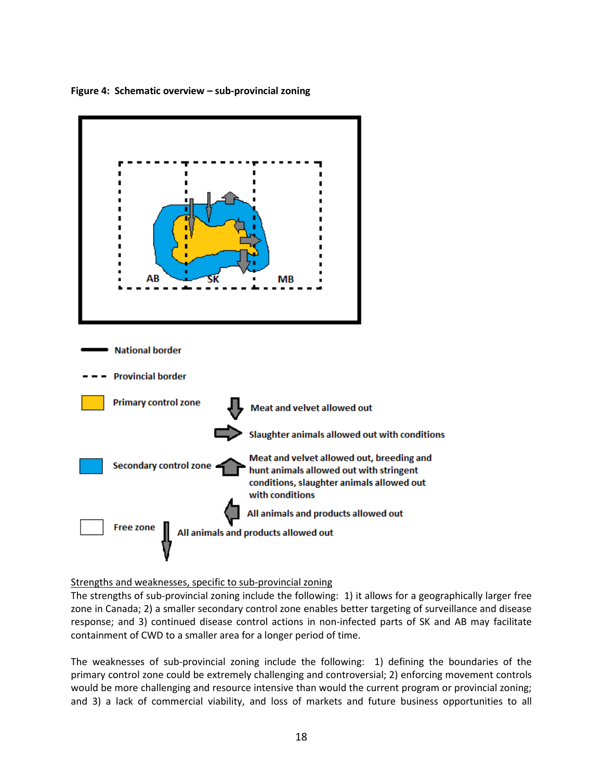

<span id="page-17-0"></span>**Figure 4: Schematic overview – sub-provincial zoning**

Strengths and weaknesses, specific to sub-provincial zoning

The strengths of sub-provincial zoning include the following: 1) it allows for a geographically larger free zone in Canada; 2) a smaller secondary control zone enables better targeting of surveillance and disease response; and 3) continued disease control actions in non-infected parts of SK and AB may facilitate containment of CWD to a smaller area for a longer period of time.

The weaknesses of sub-provincial zoning include the following: 1) defining the boundaries of the primary control zone could be extremely challenging and controversial; 2) enforcing movement controls would be more challenging and resource intensive than would the current program or provincial zoning; and 3) a lack of commercial viability, and loss of markets and future business opportunities to all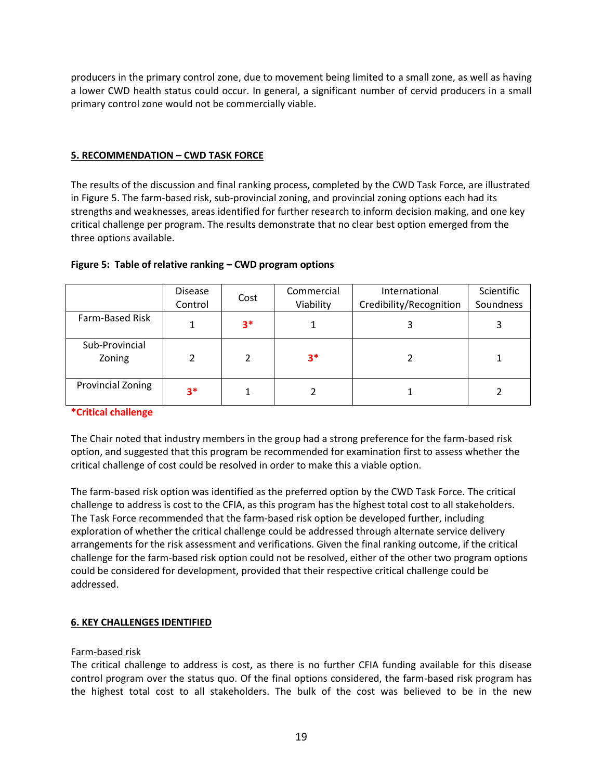producers in the primary control zone, due to movement being limited to a small zone, as well as having a lower CWD health status could occur. In general, a significant number of cervid producers in a small primary control zone would not be commercially viable.

# <span id="page-18-0"></span>**5. RECOMMENDATION – CWD TASK FORCE**

The results of the discussion and final ranking process, completed by the CWD Task Force, are illustrated in Figure 5. The farm-based risk, sub-provincial zoning, and provincial zoning options each had its strengths and weaknesses, areas identified for further research to inform decision making, and one key critical challenge per program. The results demonstrate that no clear best option emerged from the three options available.

|                          | <b>Disease</b><br>Control | Cost | Commercial<br>Viability | International<br>Credibility/Recognition | Scientific<br>Soundness |
|--------------------------|---------------------------|------|-------------------------|------------------------------------------|-------------------------|
| Farm-Based Risk          |                           | $3*$ |                         |                                          |                         |
| Sub-Provincial<br>Zoning |                           | 2    | 3*                      |                                          |                         |
| <b>Provincial Zoning</b> | $3*$                      |      |                         |                                          |                         |

## <span id="page-18-2"></span>**Figure 5: Table of relative ranking – CWD program options**

## **\*Critical challenge**

The Chair noted that industry members in the group had a strong preference for the farm-based risk option, and suggested that this program be recommended for examination first to assess whether the critical challenge of cost could be resolved in order to make this a viable option.

The farm-based risk option was identified as the preferred option by the CWD Task Force. The critical challenge to address is cost to the CFIA, as this program has the highest total cost to all stakeholders. The Task Force recommended that the farm-based risk option be developed further, including exploration of whether the critical challenge could be addressed through alternate service delivery arrangements for the risk assessment and verifications. Given the final ranking outcome, if the critical challenge for the farm-based risk option could not be resolved, either of the other two program options could be considered for development, provided that their respective critical challenge could be addressed.

## <span id="page-18-1"></span>**6. KEY CHALLENGES IDENTIFIED**

## Farm-based risk

The critical challenge to address is cost, as there is no further CFIA funding available for this disease control program over the status quo. Of the final options considered, the farm-based risk program has the highest total cost to all stakeholders. The bulk of the cost was believed to be in the new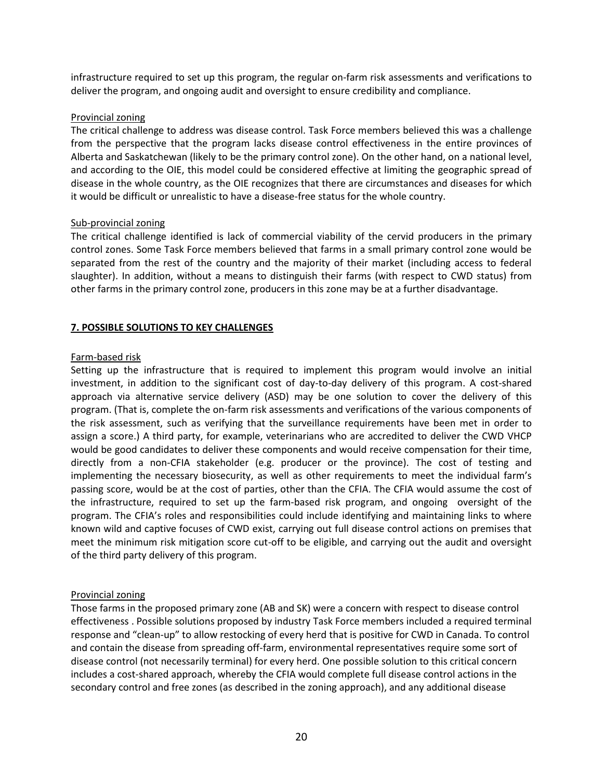infrastructure required to set up this program, the regular on-farm risk assessments and verifications to deliver the program, and ongoing audit and oversight to ensure credibility and compliance.

#### Provincial zoning

The critical challenge to address was disease control. Task Force members believed this was a challenge from the perspective that the program lacks disease control effectiveness in the entire provinces of Alberta and Saskatchewan (likely to be the primary control zone). On the other hand, on a national level, and according to the OIE, this model could be considered effective at limiting the geographic spread of disease in the whole country, as the OIE recognizes that there are circumstances and diseases for which it would be difficult or unrealistic to have a disease-free status for the whole country.

#### Sub-provincial zoning

The critical challenge identified is lack of commercial viability of the cervid producers in the primary control zones. Some Task Force members believed that farms in a small primary control zone would be separated from the rest of the country and the majority of their market (including access to federal slaughter). In addition, without a means to distinguish their farms (with respect to CWD status) from other farms in the primary control zone, producers in this zone may be at a further disadvantage.

# <span id="page-19-0"></span>**7. POSSIBLE SOLUTIONS TO KEY CHALLENGES**

## Farm-based risk

Setting up the infrastructure that is required to implement this program would involve an initial investment, in addition to the significant cost of day-to-day delivery of this program. A cost-shared approach via alternative service delivery (ASD) may be one solution to cover the delivery of this program. (That is, complete the on-farm risk assessments and verifications of the various components of the risk assessment, such as verifying that the surveillance requirements have been met in order to assign a score.) A third party, for example, veterinarians who are accredited to deliver the CWD VHCP would be good candidates to deliver these components and would receive compensation for their time, directly from a non-CFIA stakeholder (e.g. producer or the province). The cost of testing and implementing the necessary biosecurity, as well as other requirements to meet the individual farm's passing score, would be at the cost of parties, other than the CFIA. The CFIA would assume the cost of the infrastructure, required to set up the farm-based risk program, and ongoing oversight of the program. The CFIA's roles and responsibilities could include identifying and maintaining links to where known wild and captive focuses of CWD exist, carrying out full disease control actions on premises that meet the minimum risk mitigation score cut-off to be eligible, and carrying out the audit and oversight of the third party delivery of this program.

## Provincial zoning

Those farms in the proposed primary zone (AB and SK) were a concern with respect to disease control effectiveness . Possible solutions proposed by industry Task Force members included a required terminal response and "clean-up" to allow restocking of every herd that is positive for CWD in Canada. To control and contain the disease from spreading off-farm, environmental representatives require some sort of disease control (not necessarily terminal) for every herd. One possible solution to this critical concern includes a cost-shared approach, whereby the CFIA would complete full disease control actions in the secondary control and free zones (as described in the zoning approach), and any additional disease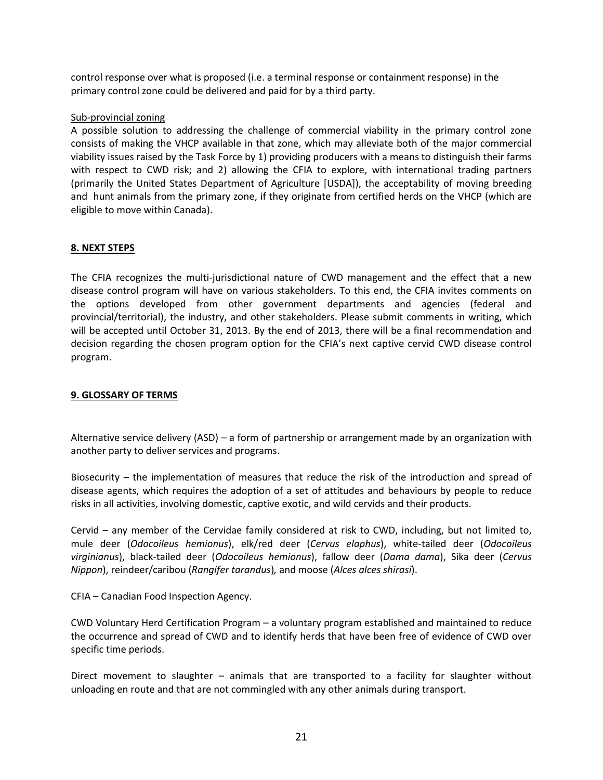control response over what is proposed (i.e. a terminal response or containment response) in the primary control zone could be delivered and paid for by a third party.

#### Sub-provincial zoning

A possible solution to addressing the challenge of commercial viability in the primary control zone consists of making the VHCP available in that zone, which may alleviate both of the major commercial viability issues raised by the Task Force by 1) providing producers with a means to distinguish their farms with respect to CWD risk; and 2) allowing the CFIA to explore, with international trading partners (primarily the United States Department of Agriculture [USDA]), the acceptability of moving breeding and hunt animals from the primary zone, if they originate from certified herds on the VHCP (which are eligible to move within Canada).

## <span id="page-20-0"></span>**8. NEXT STEPS**

The CFIA recognizes the multi-jurisdictional nature of CWD management and the effect that a new disease control program will have on various stakeholders. To this end, the CFIA invites comments on the options developed from other government departments and agencies (federal and provincial/territorial), the industry, and other stakeholders. Please submit comments in writing, which will be accepted until October 31, 2013. By the end of 2013, there will be a final recommendation and decision regarding the chosen program option for the CFIA's next captive cervid CWD disease control program.

# <span id="page-20-1"></span>**9. GLOSSARY OF TERMS**

Alternative service delivery (ASD) – a form of partnership or arrangement made by an organization with another party to deliver services and programs.

Biosecurity – the implementation of measures that reduce the risk of the introduction and spread of disease agents, which requires the adoption of a set of attitudes and behaviours by people to reduce risks in all activities, involving domestic, captive exotic, and wild cervids and their products.

Cervid – any member of the Cervidae family considered at risk to CWD, including, but not limited to, mule deer (*Odocoileus hemionus*), elk/red deer (*Cervus elaphus*), white-tailed deer (*Odocoileus virginianus*), black-tailed deer (*Odocoileus hemionus*), fallow deer (*Dama dama*), Sika deer (*Cervus Nippon*), reindeer/caribou (*Rangifer tarandus*)*,* and moose (*Alces alces shirasi*).

CFIA – Canadian Food Inspection Agency.

CWD Voluntary Herd Certification Program – a voluntary program established and maintained to reduce the occurrence and spread of CWD and to identify herds that have been free of evidence of CWD over specific time periods.

Direct movement to slaughter – animals that are transported to a facility for slaughter without unloading en route and that are not commingled with any other animals during transport.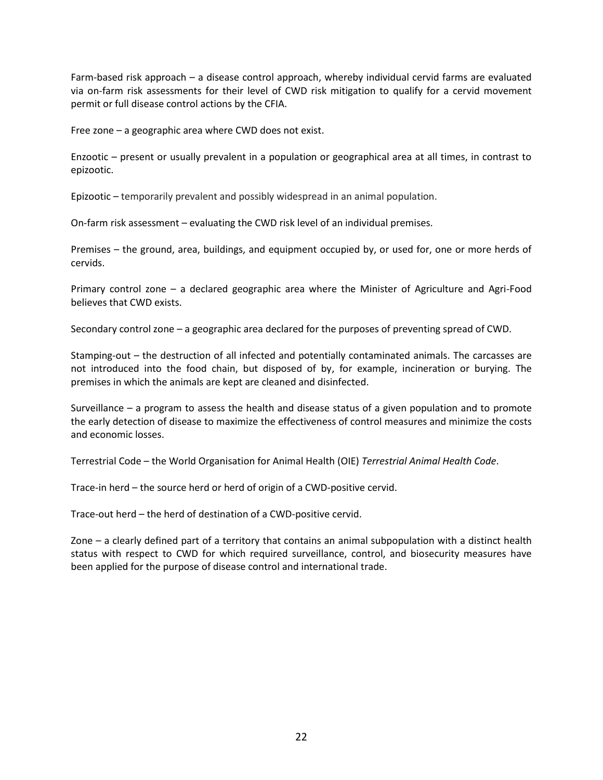Farm-based risk approach – a disease control approach, whereby individual cervid farms are evaluated via on-farm risk assessments for their level of CWD risk mitigation to qualify for a cervid movement permit or full disease control actions by the CFIA.

Free zone – a geographic area where CWD does not exist.

Enzootic – present or usually prevalent in a population or geographical area at all times, in contrast to epizootic.

Epizootic – temporarily prevalent and possibly widespread in an animal population.

On-farm risk assessment – evaluating the CWD risk level of an individual premises.

Premises – the ground, area, buildings, and equipment occupied by, or used for, one or more herds of cervids.

Primary control zone – a declared geographic area where the Minister of Agriculture and Agri-Food believes that CWD exists.

Secondary control zone – a geographic area declared for the purposes of preventing spread of CWD.

Stamping-out – the destruction of all infected and potentially contaminated animals. The carcasses are not introduced into the food chain, but disposed of by, for example, incineration or burying. The premises in which the animals are kept are cleaned and disinfected.

Surveillance – a program to assess the health and disease status of a given population and to promote the early detection of disease to maximize the effectiveness of control measures and minimize the costs and economic losses.

Terrestrial Code – the World Organisation for Animal Health (OIE) *Terrestrial Animal Health Code*.

Trace-in herd – the source herd or herd of origin of a CWD-positive cervid.

Trace-out herd – the herd of destination of a CWD-positive cervid.

Zone – a clearly defined part of a territory that contains an animal subpopulation with a distinct health status with respect to CWD for which required surveillance, control, and biosecurity measures have been applied for the purpose of disease control and international trade.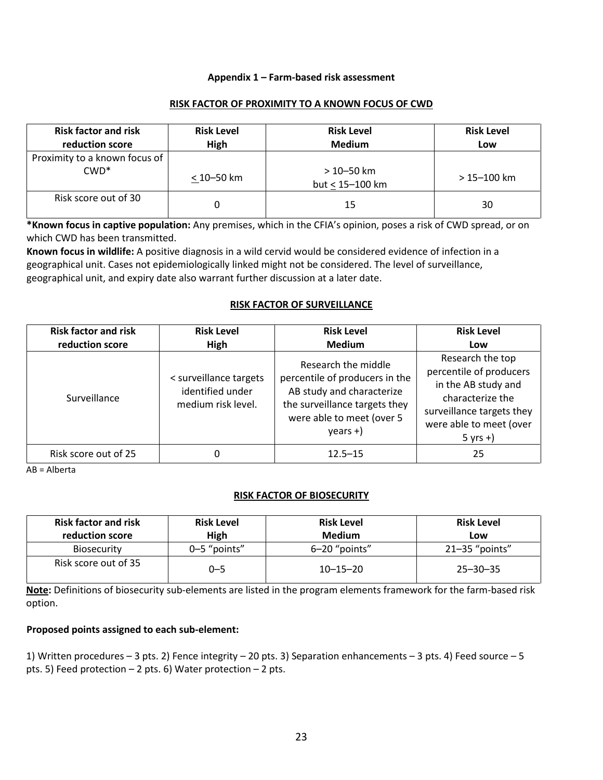## **Appendix 1 – Farm-based risk assessment**

#### **RISK FACTOR OF PROXIMITY TO A KNOWN FOCUS OF CWD**

<span id="page-22-0"></span>

| <b>Risk factor and risk</b><br>reduction score | <b>Risk Level</b><br>High | <b>Risk Level</b><br><b>Medium</b> | <b>Risk Level</b><br>Low |
|------------------------------------------------|---------------------------|------------------------------------|--------------------------|
| Proximity to a known focus of<br>$CWD*$        | < 10–50 km                | $>10 - 50$ km<br>but < 15-100 km   | $>15 - 100$ km           |
| Risk score out of 30                           |                           | 15                                 | 30                       |

**\*Known focus in captive population:** Any premises, which in the CFIA's opinion, poses a risk of CWD spread, or on which CWD has been transmitted.

**Known focus in wildlife:** A positive diagnosis in a wild cervid would be considered evidence of infection in a geographical unit. Cases not epidemiologically linked might not be considered. The level of surveillance, geographical unit, and expiry date also warrant further discussion at a later date.

#### **RISK FACTOR OF SURVEILLANCE**

| <b>Risk factor and risk</b><br>reduction score | <b>Risk Level</b><br>High                                        | <b>Risk Level</b><br><b>Medium</b>                                                                                                                             | <b>Risk Level</b><br>Low                                                                                                                                     |
|------------------------------------------------|------------------------------------------------------------------|----------------------------------------------------------------------------------------------------------------------------------------------------------------|--------------------------------------------------------------------------------------------------------------------------------------------------------------|
| Surveillance                                   | < surveillance targets<br>identified under<br>medium risk level. | Research the middle<br>percentile of producers in the<br>AB study and characterize<br>the surveillance targets they<br>were able to meet (over 5<br>$years +)$ | Research the top<br>percentile of producers<br>in the AB study and<br>characterize the<br>surveillance targets they<br>were able to meet (over<br>$5$ yrs +) |
| Risk score out of 25                           | 0                                                                | $12.5 - 15$                                                                                                                                                    | 25                                                                                                                                                           |

AB = Alberta

## **RISK FACTOR OF BIOSECURITY**

| <b>Risk factor and risk</b><br>reduction score | <b>Risk Level</b><br>High | <b>Risk Level</b><br><b>Medium</b> | <b>Risk Level</b><br>Low |
|------------------------------------------------|---------------------------|------------------------------------|--------------------------|
| <b>Biosecurity</b>                             | 0-5 "points"              | 6-20 "points"                      | $21 - 35$ "points"       |
| Risk score out of 35                           | 0–5                       | $10 - 15 - 20$                     | $25 - 30 - 35$           |

**Note:** Definitions of biosecurity sub-elements are listed in the program elements framework for the farm-based risk option.

## **Proposed points assigned to each sub-element:**

1) Written procedures – 3 pts. 2) Fence integrity – 20 pts. 3) Separation enhancements – 3 pts. 4) Feed source – 5 pts. 5) Feed protection – 2 pts. 6) Water protection – 2 pts.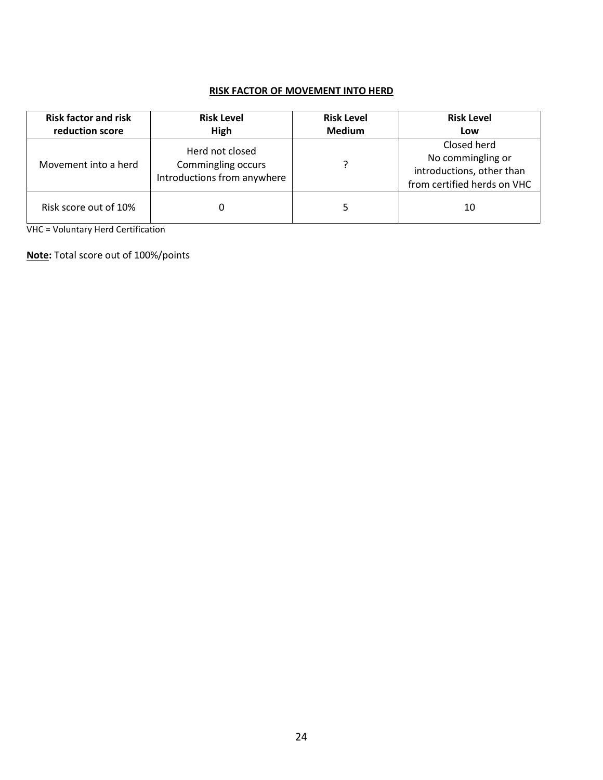# **RISK FACTOR OF MOVEMENT INTO HERD**

| <b>Risk factor and risk</b><br>reduction score | <b>Risk Level</b><br>High                                            | <b>Risk Level</b><br><b>Medium</b> | <b>Risk Level</b><br>Low                                                                     |
|------------------------------------------------|----------------------------------------------------------------------|------------------------------------|----------------------------------------------------------------------------------------------|
| Movement into a herd                           | Herd not closed<br>Commingling occurs<br>Introductions from anywhere |                                    | Closed herd<br>No commingling or<br>introductions, other than<br>from certified herds on VHC |
| Risk score out of 10%                          | 0                                                                    |                                    | 10                                                                                           |

VHC = Voluntary Herd Certification

**Note:** Total score out of 100%/points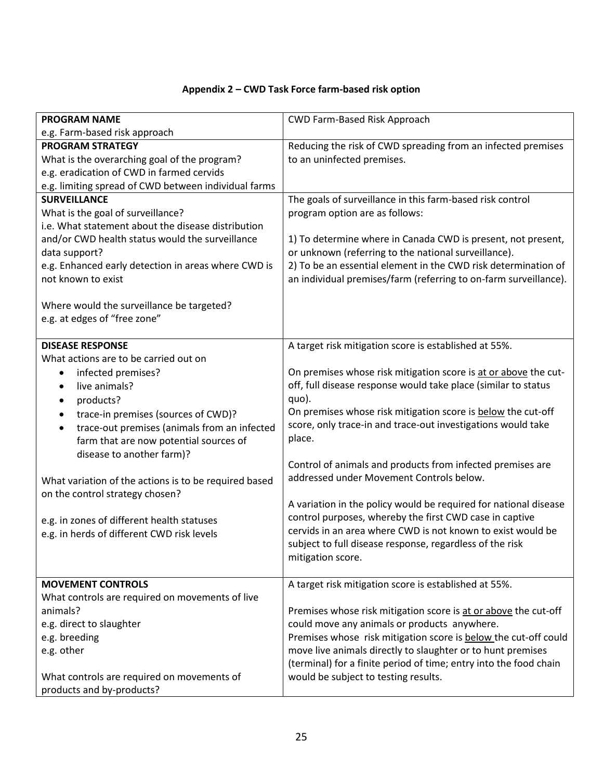# **Appendix 2 – CWD Task Force farm-based risk option**

<span id="page-24-0"></span>

| <b>PROGRAM NAME</b>                                       | CWD Farm-Based Risk Approach                                      |
|-----------------------------------------------------------|-------------------------------------------------------------------|
| e.g. Farm-based risk approach                             |                                                                   |
| <b>PROGRAM STRATEGY</b>                                   | Reducing the risk of CWD spreading from an infected premises      |
| What is the overarching goal of the program?              | to an uninfected premises.                                        |
| e.g. eradication of CWD in farmed cervids                 |                                                                   |
| e.g. limiting spread of CWD between individual farms      |                                                                   |
| <b>SURVEILLANCE</b>                                       | The goals of surveillance in this farm-based risk control         |
| What is the goal of surveillance?                         | program option are as follows:                                    |
| i.e. What statement about the disease distribution        |                                                                   |
| and/or CWD health status would the surveillance           | 1) To determine where in Canada CWD is present, not present,      |
| data support?                                             | or unknown (referring to the national surveillance).              |
| e.g. Enhanced early detection in areas where CWD is       | 2) To be an essential element in the CWD risk determination of    |
| not known to exist                                        | an individual premises/farm (referring to on-farm surveillance).  |
|                                                           |                                                                   |
| Where would the surveillance be targeted?                 |                                                                   |
| e.g. at edges of "free zone"                              |                                                                   |
|                                                           |                                                                   |
| <b>DISEASE RESPONSE</b>                                   | A target risk mitigation score is established at 55%.             |
| What actions are to be carried out on                     |                                                                   |
| infected premises?<br>$\bullet$                           | On premises whose risk mitigation score is at or above the cut-   |
| live animals?<br>$\bullet$                                | off, full disease response would take place (similar to status    |
| products?<br>$\bullet$                                    | quo).                                                             |
| trace-in premises (sources of CWD)?<br>$\bullet$          | On premises whose risk mitigation score is below the cut-off      |
| trace-out premises (animals from an infected<br>$\bullet$ | score, only trace-in and trace-out investigations would take      |
| farm that are now potential sources of                    | place.                                                            |
| disease to another farm)?                                 | Control of animals and products from infected premises are        |
|                                                           | addressed under Movement Controls below.                          |
| What variation of the actions is to be required based     |                                                                   |
| on the control strategy chosen?                           | A variation in the policy would be required for national disease  |
|                                                           | control purposes, whereby the first CWD case in captive           |
| e.g. in zones of different health statuses                | cervids in an area where CWD is not known to exist would be       |
| e.g. in herds of different CWD risk levels                | subject to full disease response, regardless of the risk          |
|                                                           | mitigation score.                                                 |
|                                                           |                                                                   |
| <b>MOVEMENT CONTROLS</b>                                  | A target risk mitigation score is established at 55%.             |
| What controls are required on movements of live           |                                                                   |
| animals?                                                  | Premises whose risk mitigation score is at or above the cut-off   |
| e.g. direct to slaughter                                  | could move any animals or products anywhere.                      |
| e.g. breeding                                             | Premises whose risk mitigation score is below the cut-off could   |
| e.g. other                                                | move live animals directly to slaughter or to hunt premises       |
|                                                           | (terminal) for a finite period of time; entry into the food chain |
| What controls are required on movements of                | would be subject to testing results.                              |
| products and by-products?                                 |                                                                   |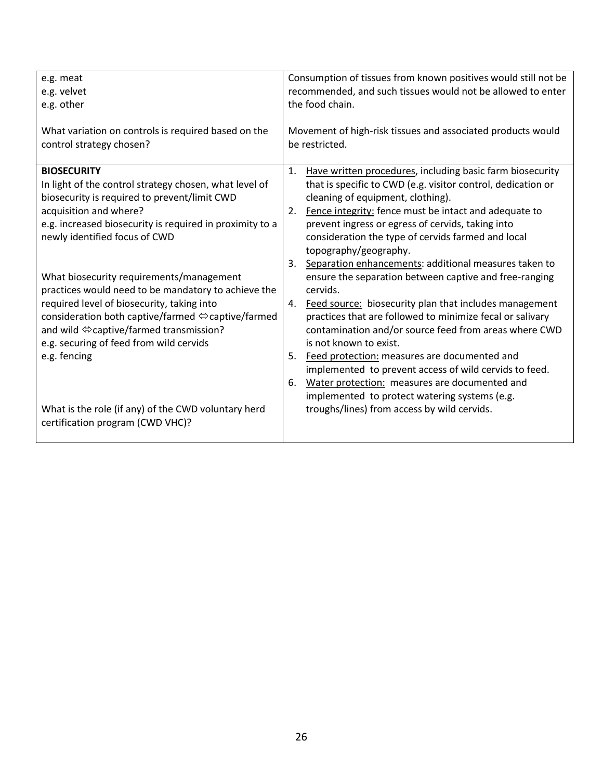| What variation on controls is required based on the<br>Movement of high-risk tissues and associated products would<br>control strategy chosen?<br>be restricted.<br><b>BIOSECURITY</b><br>Have written procedures, including basic farm biosecurity<br>1.<br>In light of the control strategy chosen, what level of<br>that is specific to CWD (e.g. visitor control, dedication or<br>biosecurity is required to prevent/limit CWD<br>cleaning of equipment, clothing).<br>Fence integrity: fence must be intact and adequate to<br>acquisition and where?<br>2.<br>prevent ingress or egress of cervids, taking into<br>e.g. increased biosecurity is required in proximity to a<br>newly identified focus of CWD<br>consideration the type of cervids farmed and local<br>topography/geography.<br>Separation enhancements: additional measures taken to<br>3.<br>What biosecurity requirements/management<br>ensure the separation between captive and free-ranging<br>practices would need to be mandatory to achieve the<br>cervids.<br>required level of biosecurity, taking into<br>Feed source: biosecurity plan that includes management<br>4.<br>consideration both captive/farmed ⇔captive/farmed<br>practices that are followed to minimize fecal or salivary | Consumption of tissues from known positives would still not be<br>recommended, and such tissues would not be allowed to enter<br>the food chain. |  |
|----------------------------------------------------------------------------------------------------------------------------------------------------------------------------------------------------------------------------------------------------------------------------------------------------------------------------------------------------------------------------------------------------------------------------------------------------------------------------------------------------------------------------------------------------------------------------------------------------------------------------------------------------------------------------------------------------------------------------------------------------------------------------------------------------------------------------------------------------------------------------------------------------------------------------------------------------------------------------------------------------------------------------------------------------------------------------------------------------------------------------------------------------------------------------------------------------------------------------------------------------------------------------|--------------------------------------------------------------------------------------------------------------------------------------------------|--|
|                                                                                                                                                                                                                                                                                                                                                                                                                                                                                                                                                                                                                                                                                                                                                                                                                                                                                                                                                                                                                                                                                                                                                                                                                                                                            |                                                                                                                                                  |  |
| and wild ⇔captive/farmed transmission?<br>contamination and/or source feed from areas where CWD<br>e.g. securing of feed from wild cervids<br>is not known to exist.<br>e.g. fencing<br>Feed protection: measures are documented and<br>5.<br>implemented to prevent access of wild cervids to feed.<br>Water protection: measures are documented and<br>6.<br>implemented to protect watering systems (e.g.<br>What is the role (if any) of the CWD voluntary herd<br>troughs/lines) from access by wild cervids.<br>certification program (CWD VHC)?                                                                                                                                                                                                                                                                                                                                                                                                                                                                                                                                                                                                                                                                                                                     |                                                                                                                                                  |  |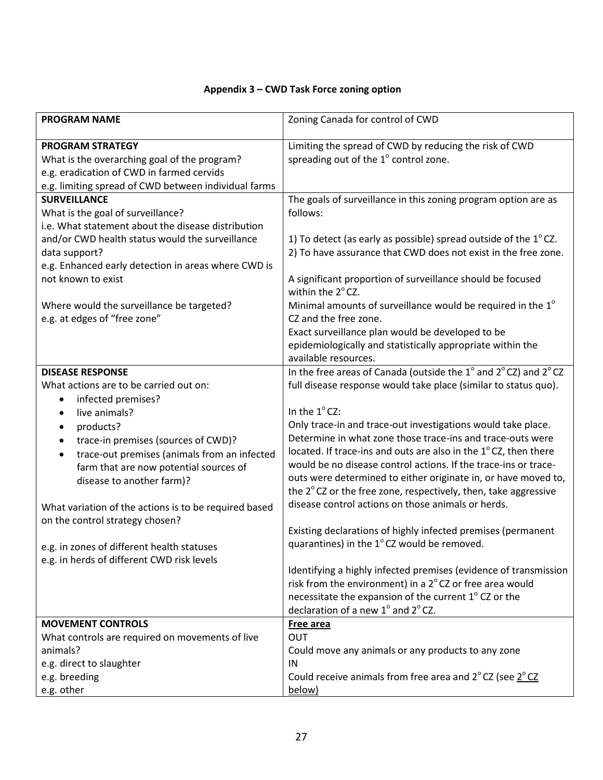# <span id="page-26-0"></span>**Appendix 3 – CWD Task Force zoning option**

| <b>PROGRAM NAME</b>                                                                                                                                                                                                                                                                                                                                                                                                                                                                                                                          | Zoning Canada for control of CWD                                                                                                                                                                                                                                                                                                                                                                                                                                                                                                                                                                                                                                                                                                                                                                                                                                                                                                                                                   |
|----------------------------------------------------------------------------------------------------------------------------------------------------------------------------------------------------------------------------------------------------------------------------------------------------------------------------------------------------------------------------------------------------------------------------------------------------------------------------------------------------------------------------------------------|------------------------------------------------------------------------------------------------------------------------------------------------------------------------------------------------------------------------------------------------------------------------------------------------------------------------------------------------------------------------------------------------------------------------------------------------------------------------------------------------------------------------------------------------------------------------------------------------------------------------------------------------------------------------------------------------------------------------------------------------------------------------------------------------------------------------------------------------------------------------------------------------------------------------------------------------------------------------------------|
| <b>PROGRAM STRATEGY</b><br>What is the overarching goal of the program?<br>e.g. eradication of CWD in farmed cervids<br>e.g. limiting spread of CWD between individual farms                                                                                                                                                                                                                                                                                                                                                                 | Limiting the spread of CWD by reducing the risk of CWD<br>spreading out of the 1° control zone.                                                                                                                                                                                                                                                                                                                                                                                                                                                                                                                                                                                                                                                                                                                                                                                                                                                                                    |
| <b>SURVEILLANCE</b><br>What is the goal of surveillance?<br>i.e. What statement about the disease distribution<br>and/or CWD health status would the surveillance<br>data support?<br>e.g. Enhanced early detection in areas where CWD is<br>not known to exist<br>Where would the surveillance be targeted?<br>e.g. at edges of "free zone"                                                                                                                                                                                                 | The goals of surveillance in this zoning program option are as<br>follows:<br>1) To detect (as early as possible) spread outside of the $1^{\circ}$ CZ.<br>2) To have assurance that CWD does not exist in the free zone.<br>A significant proportion of surveillance should be focused<br>within the 2°CZ.<br>Minimal amounts of surveillance would be required in the 1 <sup>°</sup><br>CZ and the free zone.<br>Exact surveillance plan would be developed to be<br>epidemiologically and statistically appropriate within the                                                                                                                                                                                                                                                                                                                                                                                                                                                  |
| <b>DISEASE RESPONSE</b><br>What actions are to be carried out on:<br>infected premises?<br>$\bullet$<br>live animals?<br>$\bullet$<br>products?<br>$\bullet$<br>trace-in premises (sources of CWD)?<br>$\bullet$<br>trace-out premises (animals from an infected<br>$\bullet$<br>farm that are now potential sources of<br>disease to another farm)?<br>What variation of the actions is to be required based<br>on the control strategy chosen?<br>e.g. in zones of different health statuses<br>e.g. in herds of different CWD risk levels | available resources.<br>In the free areas of Canada (outside the 1° and 2°CZ) and 2°CZ<br>full disease response would take place (similar to status quo).<br>In the 1°CZ:<br>Only trace-in and trace-out investigations would take place.<br>Determine in what zone those trace-ins and trace-outs were<br>located. If trace-ins and outs are also in the 1°CZ, then there<br>would be no disease control actions. If the trace-ins or trace-<br>outs were determined to either originate in, or have moved to,<br>the 2°CZ or the free zone, respectively, then, take aggressive<br>disease control actions on those animals or herds.<br>Existing declarations of highly infected premises (permanent<br>quarantines) in the 1°CZ would be removed.<br>Identifying a highly infected premises (evidence of transmission<br>risk from the environment) in a 2°CZ or free area would<br>necessitate the expansion of the current 1° CZ or the<br>declaration of a new 1° and 2°CZ. |
| <b>MOVEMENT CONTROLS</b><br>What controls are required on movements of live<br>animals?<br>e.g. direct to slaughter<br>e.g. breeding<br>e.g. other                                                                                                                                                                                                                                                                                                                                                                                           | Free area<br>OUT<br>Could move any animals or any products to any zone<br>IN<br>Could receive animals from free area and $2^{\circ}$ CZ (see $2^{\circ}$ CZ<br>below)                                                                                                                                                                                                                                                                                                                                                                                                                                                                                                                                                                                                                                                                                                                                                                                                              |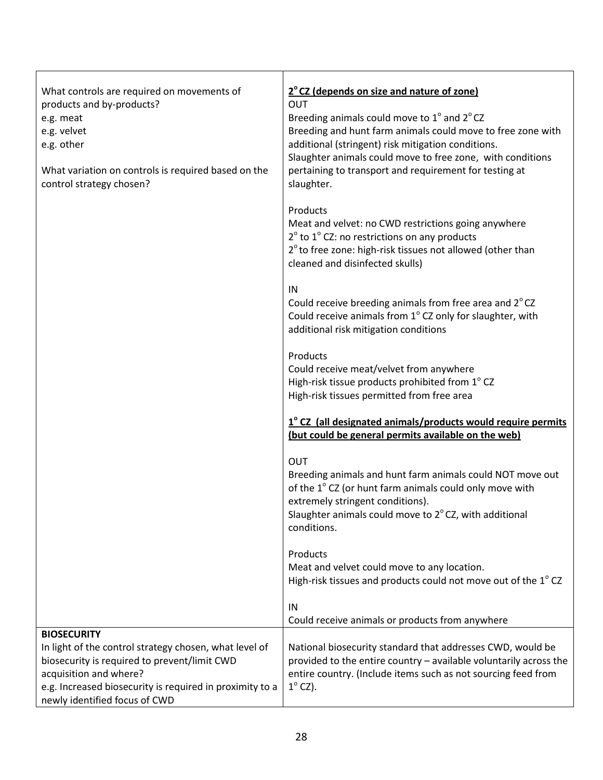| What controls are required on movements of<br>products and by-products?<br>e.g. meat<br>e.g. velvet<br>e.g. other<br>What variation on controls is required based on the<br>control strategy chosen?                          | 2° CZ (depends on size and nature of zone)<br><b>OUT</b><br>Breeding animals could move to 1° and 2°CZ<br>Breeding and hunt farm animals could move to free zone with<br>additional (stringent) risk mitigation conditions.<br>Slaughter animals could move to free zone, with conditions<br>pertaining to transport and requirement for testing at<br>slaughter. |
|-------------------------------------------------------------------------------------------------------------------------------------------------------------------------------------------------------------------------------|-------------------------------------------------------------------------------------------------------------------------------------------------------------------------------------------------------------------------------------------------------------------------------------------------------------------------------------------------------------------|
|                                                                                                                                                                                                                               | Products<br>Meat and velvet: no CWD restrictions going anywhere<br>$2^{\circ}$ to $1^{\circ}$ CZ: no restrictions on any products<br>2 <sup>°</sup> to free zone: high-risk tissues not allowed (other than<br>cleaned and disinfected skulls)                                                                                                                    |
|                                                                                                                                                                                                                               | IN<br>Could receive breeding animals from free area and 2°CZ<br>Could receive animals from 1° CZ only for slaughter, with<br>additional risk mitigation conditions                                                                                                                                                                                                |
|                                                                                                                                                                                                                               | Products<br>Could receive meat/velvet from anywhere<br>High-risk tissue products prohibited from 1° CZ<br>High-risk tissues permitted from free area                                                                                                                                                                                                              |
|                                                                                                                                                                                                                               | 1° CZ (all designated animals/products would require permits<br>(but could be general permits available on the web)                                                                                                                                                                                                                                               |
|                                                                                                                                                                                                                               | OUT<br>Breeding animals and hunt farm animals could NOT move out<br>of the 1° CZ (or hunt farm animals could only move with<br>extremely stringent conditions).<br>Slaughter animals could move to 2°CZ, with additional<br>conditions.                                                                                                                           |
|                                                                                                                                                                                                                               | Products<br>Meat and velvet could move to any location.<br>High-risk tissues and products could not move out of the $1^{\circ}$ CZ                                                                                                                                                                                                                                |
|                                                                                                                                                                                                                               | IN<br>Could receive animals or products from anywhere                                                                                                                                                                                                                                                                                                             |
| <b>BIOSECURITY</b>                                                                                                                                                                                                            |                                                                                                                                                                                                                                                                                                                                                                   |
| In light of the control strategy chosen, what level of<br>biosecurity is required to prevent/limit CWD<br>acquisition and where?<br>e.g. Increased biosecurity is required in proximity to a<br>newly identified focus of CWD | National biosecurity standard that addresses CWD, would be<br>provided to the entire country - available voluntarily across the<br>entire country. (Include items such as not sourcing feed from<br>$1^\circ$ CZ).                                                                                                                                                |